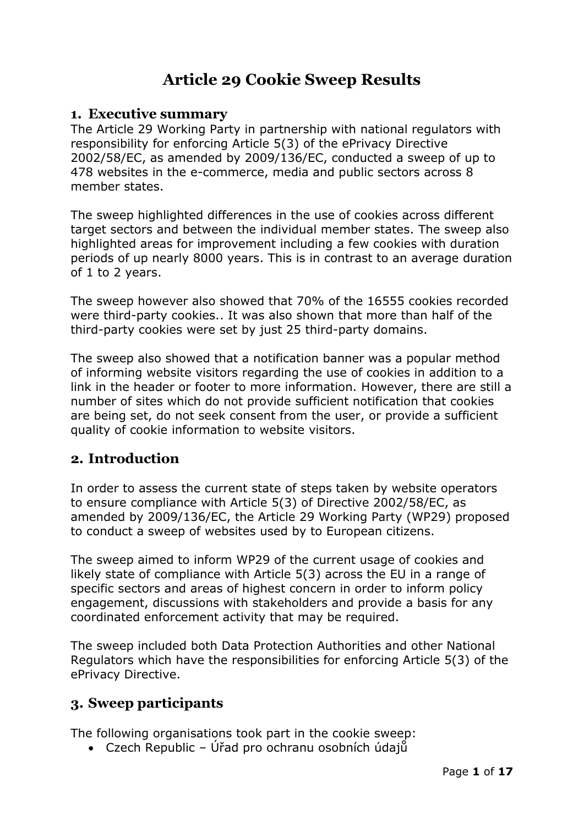# **Article 29 Cookie Sweep Results**

### **1. Executive summary**

The Article 29 Working Party in partnership with national regulators with responsibility for enforcing Article 5(3) of the ePrivacy Directive 2002/58/EC, as amended by 2009/136/EC, conducted a sweep of up to 478 websites in the e-commerce, media and public sectors across 8 member states.

The sweep highlighted differences in the use of cookies across different target sectors and between the individual member states. The sweep also highlighted areas for improvement including a few cookies with duration periods of up nearly 8000 years. This is in contrast to an average duration of 1 to 2 years.

The sweep however also showed that 70% of the 16555 cookies recorded were third-party cookies.. It was also shown that more than half of the third-party cookies were set by just 25 third-party domains.

The sweep also showed that a notification banner was a popular method of informing website visitors regarding the use of cookies in addition to a link in the header or footer to more information. However, there are still a number of sites which do not provide sufficient notification that cookies are being set, do not seek consent from the user, or provide a sufficient quality of cookie information to website visitors.

# **2. Introduction**

In order to assess the current state of steps taken by website operators to ensure compliance with Article 5(3) of Directive 2002/58/EC, as amended by 2009/136/EC, the Article 29 Working Party (WP29) proposed to conduct a sweep of websites used by to European citizens.

The sweep aimed to inform WP29 of the current usage of cookies and likely state of compliance with Article 5(3) across the EU in a range of specific sectors and areas of highest concern in order to inform policy engagement, discussions with stakeholders and provide a basis for any coordinated enforcement activity that may be required.

The sweep included both Data Protection Authorities and other National Regulators which have the responsibilities for enforcing Article 5(3) of the ePrivacy Directive.

# **3. Sweep participants**

The following organisations took part in the cookie sweep:

• Czech Republic – Úřad pro ochranu osobních údajů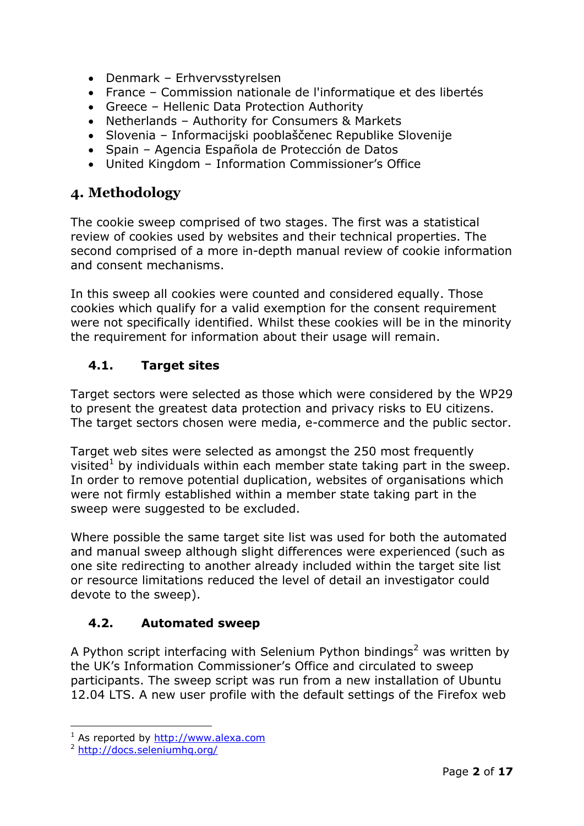- Denmark Erhvervsstyrelsen
- France Commission nationale de l'informatique et des libertés
- Greece Hellenic Data Protection Authority
- Netherlands Authority for Consumers & Markets
- Slovenia Informacijski pooblaščenec Republike Slovenije
- Spain Agencia Española de Protección de Datos
- United Kingdom Information Commissioner's Office

# **4. Methodology**

The cookie sweep comprised of two stages. The first was a statistical review of cookies used by websites and their technical properties. The second comprised of a more in-depth manual review of cookie information and consent mechanisms.

In this sweep all cookies were counted and considered equally. Those cookies which qualify for a valid exemption for the consent requirement were not specifically identified. Whilst these cookies will be in the minority the requirement for information about their usage will remain.

# **4.1. Target sites**

Target sectors were selected as those which were considered by the WP29 to present the greatest data protection and privacy risks to EU citizens. The target sectors chosen were media, e-commerce and the public sector.

Target web sites were selected as amongst the 250 most frequently visited<sup> $\pm$ </sup> by individuals within each member state taking part in the sweep. In order to remove potential duplication, websites of organisations which were not firmly established within a member state taking part in the sweep were suggested to be excluded.

Where possible the same target site list was used for both the automated and manual sweep although slight differences were experienced (such as one site redirecting to another already included within the target site list or resource limitations reduced the level of detail an investigator could devote to the sweep).

# **4.2. Automated sweep**

A Python script interfacing with Selenium Python bindings<sup>2</sup> was written by the UK's Information Commissioner's Office and circulated to sweep participants. The sweep script was run from a new installation of Ubuntu 12.04 LTS. A new user profile with the default settings of the Firefox web

-

 $1$  As reported by [http://www.alexa.com](http://www.alexa.com/)

<sup>2</sup> <http://docs.seleniumhq.org/>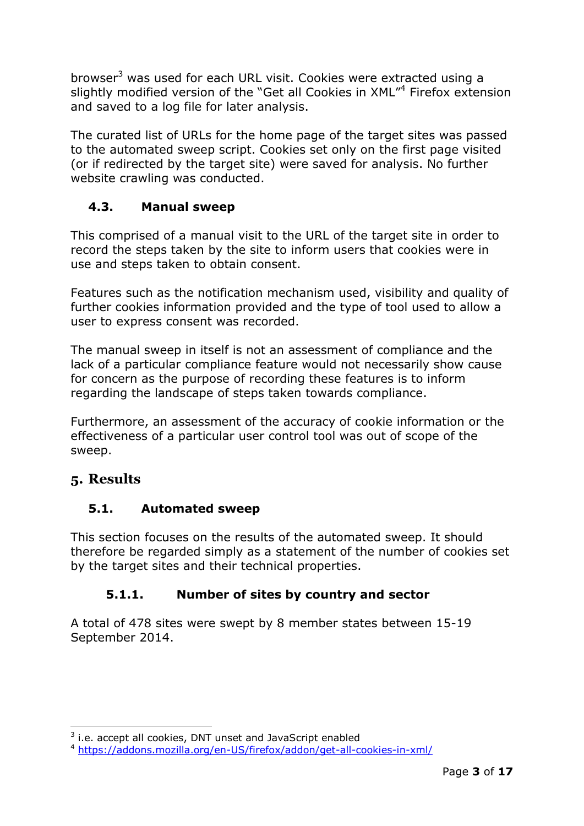browser<sup>3</sup> was used for each URL visit. Cookies were extracted using a slightly modified version of the "Get all Cookies in XML"<sup>4</sup> Firefox extension and saved to a log file for later analysis.

The curated list of URLs for the home page of the target sites was passed to the automated sweep script. Cookies set only on the first page visited (or if redirected by the target site) were saved for analysis. No further website crawling was conducted.

# **4.3. Manual sweep**

This comprised of a manual visit to the URL of the target site in order to record the steps taken by the site to inform users that cookies were in use and steps taken to obtain consent.

Features such as the notification mechanism used, visibility and quality of further cookies information provided and the type of tool used to allow a user to express consent was recorded.

The manual sweep in itself is not an assessment of compliance and the lack of a particular compliance feature would not necessarily show cause for concern as the purpose of recording these features is to inform regarding the landscape of steps taken towards compliance.

Furthermore, an assessment of the accuracy of cookie information or the effectiveness of a particular user control tool was out of scope of the sweep.

# **5. Results**

# **5.1. Automated sweep**

This section focuses on the results of the automated sweep. It should therefore be regarded simply as a statement of the number of cookies set by the target sites and their technical properties.

# **5.1.1. Number of sites by country and sector**

A total of 478 sites were swept by 8 member states between 15-19 September 2014.

<sup>-</sup> $3$  i.e. accept all cookies, DNT unset and JavaScript enabled

<sup>4</sup> <https://addons.mozilla.org/en-US/firefox/addon/get-all-cookies-in-xml/>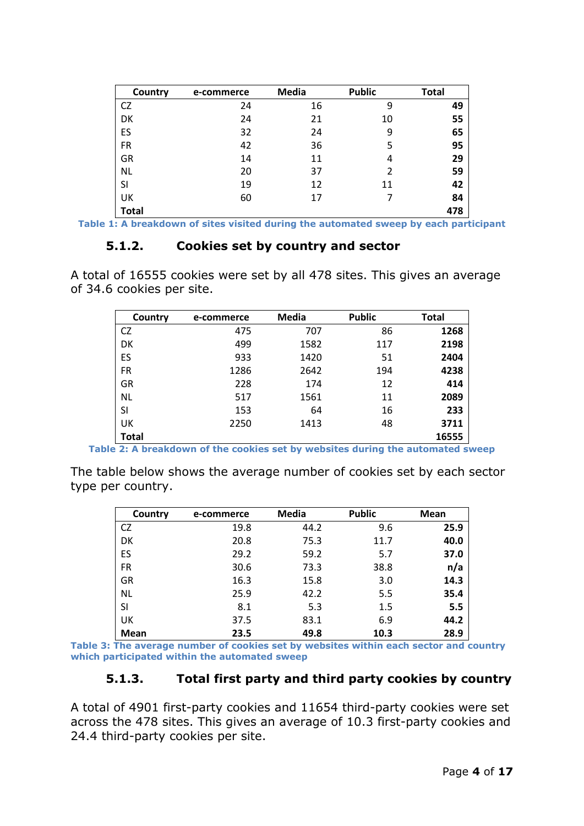| Country      | e-commerce | <b>Media</b> | <b>Public</b> | <b>Total</b> |
|--------------|------------|--------------|---------------|--------------|
| CZ           | 24         | 16           | 9             | 49           |
| DK           | 24         | 21           | 10            | 55           |
| ES           | 32         | 24           | 9             | 65           |
| <b>FR</b>    | 42         | 36           | 5             | 95           |
| GR           | 14         | 11           | 4             | 29           |
| <b>NL</b>    | 20         | 37           | 2             | 59           |
| SI           | 19         | 12           | 11            | 42           |
| UK           | 60         | 17           |               | 84           |
| <b>Total</b> |            |              |               | 478          |

**Table 1: A breakdown of sites visited during the automated sweep by each participant** 

#### **5.1.2. Cookies set by country and sector**

A total of 16555 cookies were set by all 478 sites. This gives an average of 34.6 cookies per site.

| Country   | e-commerce | Media | <b>Public</b> | <b>Total</b> |
|-----------|------------|-------|---------------|--------------|
| <b>CZ</b> | 475        | 707   | 86            | 1268         |
| DK        | 499        | 1582  | 117           | 2198         |
| ES        | 933        | 1420  | 51            | 2404         |
| <b>FR</b> | 1286       | 2642  | 194           | 4238         |
| GR        | 228        | 174   | 12            | 414          |
| <b>NL</b> | 517        | 1561  | 11            | 2089         |
| SI        | 153        | 64    | 16            | 233          |
| UK        | 2250       | 1413  | 48            | 3711         |
| Total     |            |       |               | 16555        |

**Table 2: A breakdown of the cookies set by websites during the automated sweep** 

The table below shows the average number of cookies set by each sector type per country.

| Country   | e-commerce | Media | <b>Public</b> | <b>Mean</b> |
|-----------|------------|-------|---------------|-------------|
| <b>CZ</b> | 19.8       | 44.2  | 9.6           | 25.9        |
| DK        | 20.8       | 75.3  | 11.7          | 40.0        |
| ES        | 29.2       | 59.2  | 5.7           | 37.0        |
| <b>FR</b> | 30.6       | 73.3  | 38.8          | n/a         |
| GR        | 16.3       | 15.8  | 3.0           | 14.3        |
| <b>NL</b> | 25.9       | 42.2  | 5.5           | 35.4        |
| SI        | 8.1        | 5.3   | 1.5           | 5.5         |
| UK        | 37.5       | 83.1  | 6.9           | 44.2        |
| Mean      | 23.5       | 49.8  | 10.3          | 28.9        |

**Table 3: The average number of cookies set by websites within each sector and country which participated within the automated sweep** 

#### **5.1.3. Total first party and third party cookies by country**

A total of 4901 first-party cookies and 11654 third-party cookies were set across the 478 sites. This gives an average of 10.3 first-party cookies and 24.4 third-party cookies per site.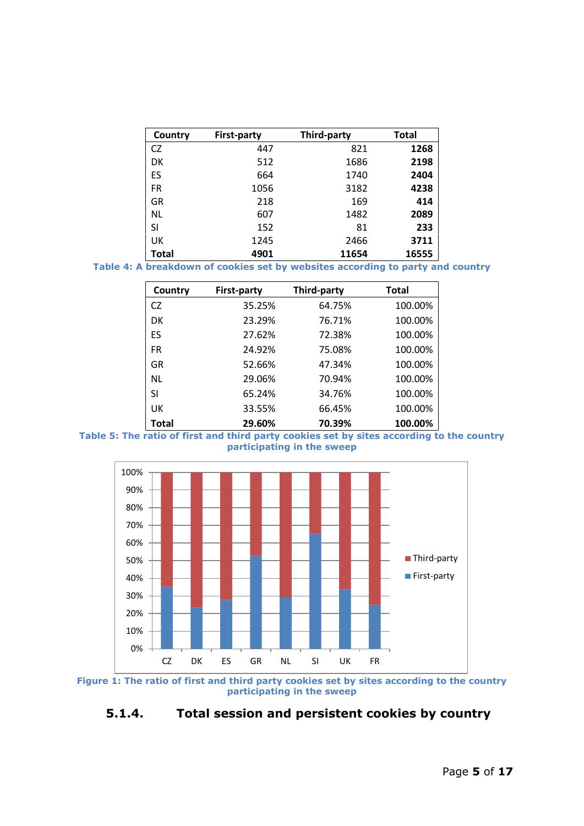| Country      | <b>First-party</b> | <b>Third-party</b> | <b>Total</b> |
|--------------|--------------------|--------------------|--------------|
| CZ           | 447                | 821                | 1268         |
| DK           | 512                | 1686               | 2198         |
| ES           | 664                | 1740               | 2404         |
| <b>FR</b>    | 1056               | 3182               | 4238         |
| GR           | 218                | 169                | 414          |
| NL.          | 607                | 1482               | 2089         |
| SI           | 152                | 81                 | 233          |
| UK           | 1245               | 2466               | 3711         |
| <b>Total</b> | 4901               | 11654              | 16555        |

**Table 4: A breakdown of cookies set by websites according to party and country**

| Country   | <b>First-party</b> | Third-party | <b>Total</b> |
|-----------|--------------------|-------------|--------------|
| CZ.       | 35.25%             | 64.75%      | 100.00%      |
| DK        | 23.29%             | 76.71%      | 100.00%      |
| ES        | 27.62%             | 72.38%      | 100.00%      |
| <b>FR</b> | 24.92%             | 75.08%      | 100.00%      |
| GR        | 52.66%             | 47.34%      | 100.00%      |
| <b>NL</b> | 29.06%             | 70.94%      | 100.00%      |
| SI        | 65.24%             | 34.76%      | 100.00%      |
| UК        | 33.55%             | 66.45%      | 100.00%      |
| Total     | 29.60%             | 70.39%      | 100.00%      |





**Figure 1: The ratio of first and third party cookies set by sites according to the country participating in the sweep**

**5.1.4. Total session and persistent cookies by country**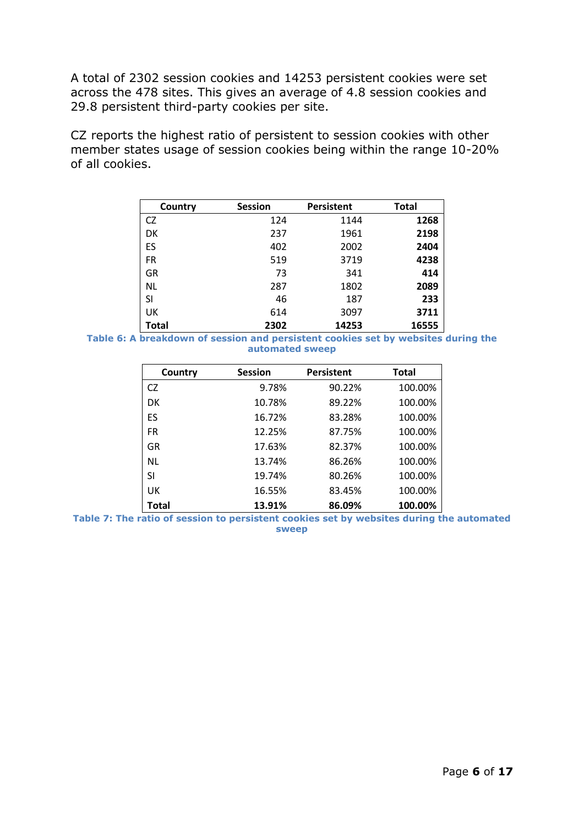A total of 2302 session cookies and 14253 persistent cookies were set across the 478 sites. This gives an average of 4.8 session cookies and 29.8 persistent third-party cookies per site.

CZ reports the highest ratio of persistent to session cookies with other member states usage of session cookies being within the range 10-20% of all cookies.

| Country   | <b>Session</b> | <b>Persistent</b> | <b>Total</b> |
|-----------|----------------|-------------------|--------------|
| <b>CZ</b> | 124            | 1144              | 1268         |
| DK        | 237            | 1961              | 2198         |
| ES        | 402            | 2002              | 2404         |
| FR        | 519            | 3719              | 4238         |
| GR        | 73             | 341               | 414          |
| NL        | 287            | 1802              | 2089         |
| SI        | 46             | 187               | 233          |
| UK        | 614            | 3097              | 3711         |
| Total     | 2302           | 14253             | 16555        |

**Table 6: A breakdown of session and persistent cookies set by websites during the automated sweep**

| Country      | <b>Session</b> | <b>Persistent</b> | <b>Total</b> |
|--------------|----------------|-------------------|--------------|
| CZ.          | 9.78%          | 90.22%            | 100.00%      |
| DK           | 10.78%         | 89.22%            | 100.00%      |
| ES           | 16.72%         | 83.28%            | 100.00%      |
| FR           | 12.25%         | 87.75%            | 100.00%      |
| GR           | 17.63%         | 82.37%            | 100.00%      |
| NL.          | 13.74%         | 86.26%            | 100.00%      |
| SI           | 19.74%         | 80.26%            | 100.00%      |
| UK           | 16.55%         | 83.45%            | 100.00%      |
| <b>Total</b> | 13.91%         | 86.09%            | 100.00%      |

**Table 7: The ratio of session to persistent cookies set by websites during the automated sweep**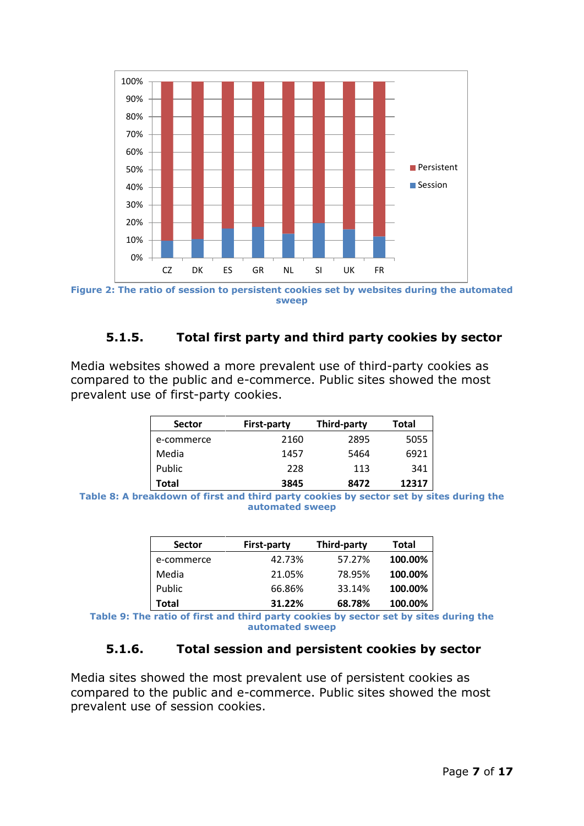

**Figure 2: The ratio of session to persistent cookies set by websites during the automated sweep**

# **5.1.5. Total first party and third party cookies by sector**

Media websites showed a more prevalent use of third-party cookies as compared to the public and e-commerce. Public sites showed the most prevalent use of first-party cookies.

| <b>Sector</b> | <b>First-party</b> | Third-party | Total |
|---------------|--------------------|-------------|-------|
| e-commerce    | 2160               | 2895        | 5055  |
| Media         | 1457               | 5464        | 6921  |
| Public        | 228                | 113         | 341   |
| Total         | 3845               | 8472        | 12317 |

**Table 8: A breakdown of first and third party cookies by sector set by sites during the automated sweep** 

| <b>Sector</b> | <b>First-party</b> | Third-party | Total   |
|---------------|--------------------|-------------|---------|
| e-commerce    | 42.73%             | 57.27%      | 100.00% |
| Media         | 21.05%             | 78.95%      | 100.00% |
| Public        | 66.86%             | 33.14%      | 100.00% |
| Total         | 31.22%             | 68.78%      | 100.00% |

**Table 9: The ratio of first and third party cookies by sector set by sites during the automated sweep**

#### **5.1.6. Total session and persistent cookies by sector**

Media sites showed the most prevalent use of persistent cookies as compared to the public and e-commerce. Public sites showed the most prevalent use of session cookies.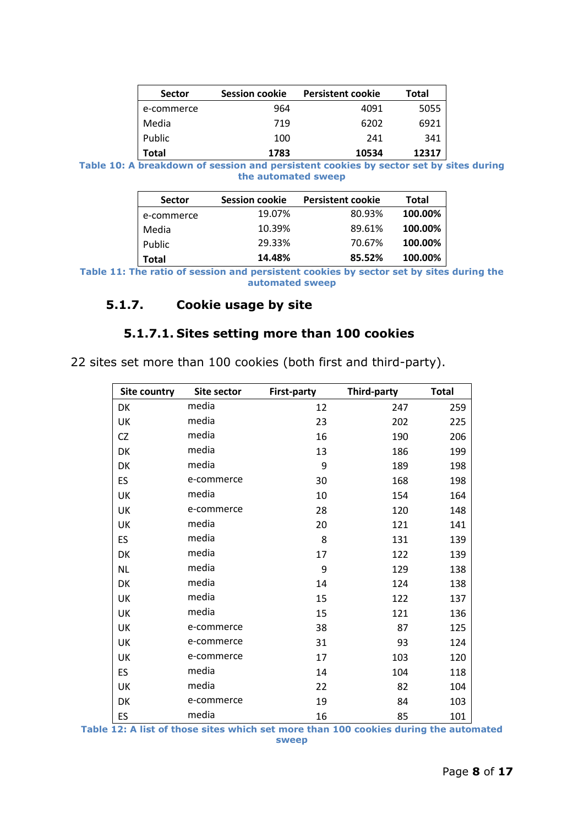| <b>Sector</b> | <b>Session cookie</b> | <b>Persistent cookie</b> | Total |
|---------------|-----------------------|--------------------------|-------|
| e-commerce    | 964                   | 4091                     | 5055  |
| Media         | 719                   | 6202                     | 6921  |
| Public        | 100                   | 241                      | 341   |
| Total         | 1783                  | 10534                    | 12317 |

**Table 10: A breakdown of session and persistent cookies by sector set by sites during the automated sweep**

| <b>Sector</b> | <b>Session cookie</b> | <b>Persistent cookie</b> | Total   |
|---------------|-----------------------|--------------------------|---------|
| e-commerce    | 19.07%                | 80.93%                   | 100.00% |
| Media         | 10.39%                | 89.61%                   | 100.00% |
| Public        | 29.33%                | 70.67%                   | 100.00% |
| Total         | 14.48%                | 85.52%                   | 100.00% |

**Table 11: The ratio of session and persistent cookies by sector set by sites during the automated sweep**

#### **5.1.7. Cookie usage by site**

#### **5.1.7.1. Sites setting more than 100 cookies**

22 sites set more than 100 cookies (both first and third-party).

| Site country | Site sector | <b>First-party</b> | Third-party | <b>Total</b> |
|--------------|-------------|--------------------|-------------|--------------|
| DK           | media       | 12                 | 247         | 259          |
| UK           | media       | 23                 | 202         | 225          |
| CZ           | media       | 16                 | 190         | 206          |
| DK           | media       | 13                 | 186         | 199          |
| DK           | media       | 9                  | 189         | 198          |
| ES.          | e-commerce  | 30                 | 168         | 198          |
| UK           | media       | 10                 | 154         | 164          |
| UK           | e-commerce  | 28                 | 120         | 148          |
| UK           | media       | 20                 | 121         | 141          |
| ES           | media       | 8                  | 131         | 139          |
| DK           | media       | 17                 | 122         | 139          |
| NL           | media       | 9                  | 129         | 138          |
| DK           | media       | 14                 | 124         | 138          |
| UK           | media       | 15                 | 122         | 137          |
| UK           | media       | 15                 | 121         | 136          |
| UK           | e-commerce  | 38                 | 87          | 125          |
| UK           | e-commerce  | 31                 | 93          | 124          |
| UK           | e-commerce  | 17                 | 103         | 120          |
| ES.          | media       | 14                 | 104         | 118          |
| UK           | media       | 22                 | 82          | 104          |
| DK           | e-commerce  | 19                 | 84          | 103          |
| ES           | media       | 16                 | 85          | 101          |

**Table 12: A list of those sites which set more than 100 cookies during the automated sweep**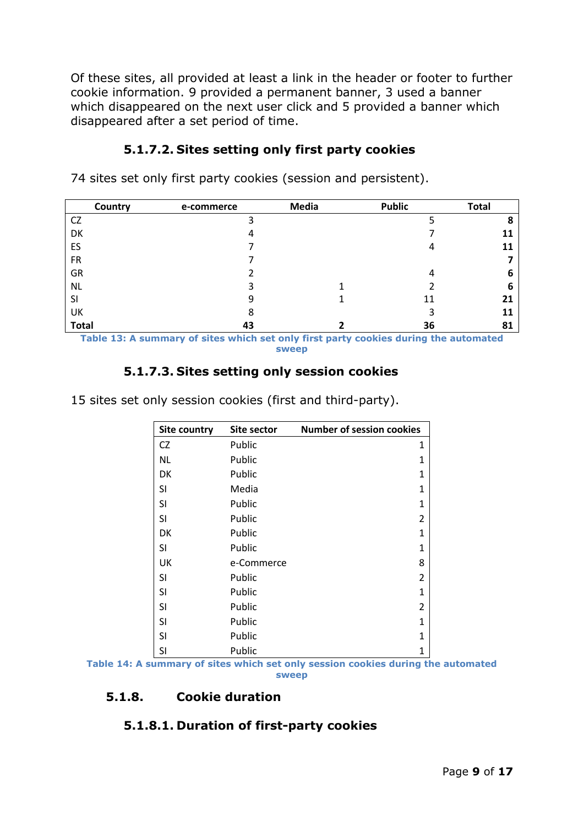Of these sites, all provided at least a link in the header or footer to further cookie information. 9 provided a permanent banner, 3 used a banner which disappeared on the next user click and 5 provided a banner which disappeared after a set period of time.

# **5.1.7.2. Sites setting only first party cookies**

74 sites set only first party cookies (session and persistent).

|              | Country | e-commerce | <b>Media</b> | <b>Public</b> | Total |
|--------------|---------|------------|--------------|---------------|-------|
| <b>CZ</b>    |         | 3          |              |               | 8     |
| DK           |         | 4          |              |               | 11    |
| ES           |         |            |              |               | 11    |
| <b>FR</b>    |         |            |              |               |       |
| GR           |         |            |              | 4             | 6     |
| <b>NL</b>    |         | 3          |              |               | ь     |
| SI           |         | 9          |              | 11            | 21    |
| UK           |         | 8          |              | 3             | 11    |
| <b>Total</b> |         | 43         |              | 36            | 81    |

**Table 13: A summary of sites which set only first party cookies during the automated sweep**

# **5.1.7.3. Sites setting only session cookies**

15 sites set only session cookies (first and third-party).

| <b>Site country</b> | Site sector | <b>Number of session cookies</b> |
|---------------------|-------------|----------------------------------|
| CZ                  | Public      | 1                                |
| NL                  | Public      | 1                                |
| DK                  | Public      | 1                                |
| SI                  | Media       | 1                                |
| SI                  | Public      | 1                                |
| SI                  | Public      | 2                                |
| DK                  | Public      | 1                                |
| SI                  | Public      | 1                                |
| UK                  | e-Commerce  | 8                                |
| SI                  | Public      | 2                                |
| SI                  | Public      | 1                                |
| SI                  | Public      | 2                                |
| SI                  | Public      | 1                                |
| SI                  | Public      | 1                                |
| SI                  | Public      | 1                                |

**Table 14: A summary of sites which set only session cookies during the automated sweep**

# **5.1.8. Cookie duration**

#### **5.1.8.1. Duration of first-party cookies**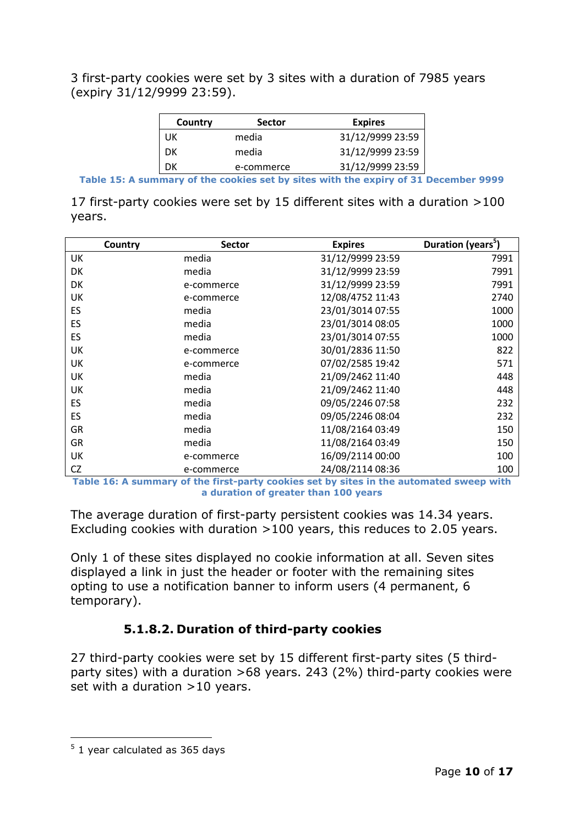3 first-party cookies were set by 3 sites with a duration of 7985 years (expiry 31/12/9999 23:59).

| Country | <b>Sector</b> | <b>Expires</b>   |
|---------|---------------|------------------|
| UK      | media         | 31/12/9999 23:59 |
| DК      | media         | 31/12/9999 23:59 |
| DK      | e-commerce    | 31/12/9999 23:59 |

**Table 15: A summary of the cookies set by sites with the expiry of 31 December 9999**

17 first-party cookies were set by 15 different sites with a duration >100 years.

| Country   | <b>Sector</b> | <b>Expires</b>   | Duration (years <sup>5</sup> ) |
|-----------|---------------|------------------|--------------------------------|
| UK        | media         | 31/12/9999 23:59 | 7991                           |
| DK        | media         | 31/12/9999 23:59 | 7991                           |
| DK        | e-commerce    | 31/12/9999 23:59 | 7991                           |
| UK        | e-commerce    | 12/08/4752 11:43 | 2740                           |
| <b>ES</b> | media         | 23/01/3014 07:55 | 1000                           |
| ES        | media         | 23/01/3014 08:05 | 1000                           |
| ES        | media         | 23/01/3014 07:55 | 1000                           |
| UK        | e-commerce    | 30/01/2836 11:50 | 822                            |
| UK        | e-commerce    | 07/02/2585 19:42 | 571                            |
| UK        | media         | 21/09/2462 11:40 | 448                            |
| UK        | media         | 21/09/2462 11:40 | 448                            |
| ES        | media         | 09/05/2246 07:58 | 232                            |
| ES        | media         | 09/05/2246 08:04 | 232                            |
| GR        | media         | 11/08/2164 03:49 | 150                            |
| GR        | media         | 11/08/2164 03:49 | 150                            |
| UK        | e-commerce    | 16/09/2114 00:00 | 100                            |
| CZ        | e-commerce    | 24/08/2114 08:36 | 100                            |

**Table 16: A summary of the first-party cookies set by sites in the automated sweep with a duration of greater than 100 years**

The average duration of first-party persistent cookies was 14.34 years. Excluding cookies with duration >100 years, this reduces to 2.05 years.

Only 1 of these sites displayed no cookie information at all. Seven sites displayed a link in just the header or footer with the remaining sites opting to use a notification banner to inform users (4 permanent, 6 temporary).

# **5.1.8.2. Duration of third-party cookies**

27 third-party cookies were set by 15 different first-party sites (5 thirdparty sites) with a duration >68 years. 243 (2%) third-party cookies were set with a duration >10 years.

<sup>-</sup> $5$  1 year calculated as 365 days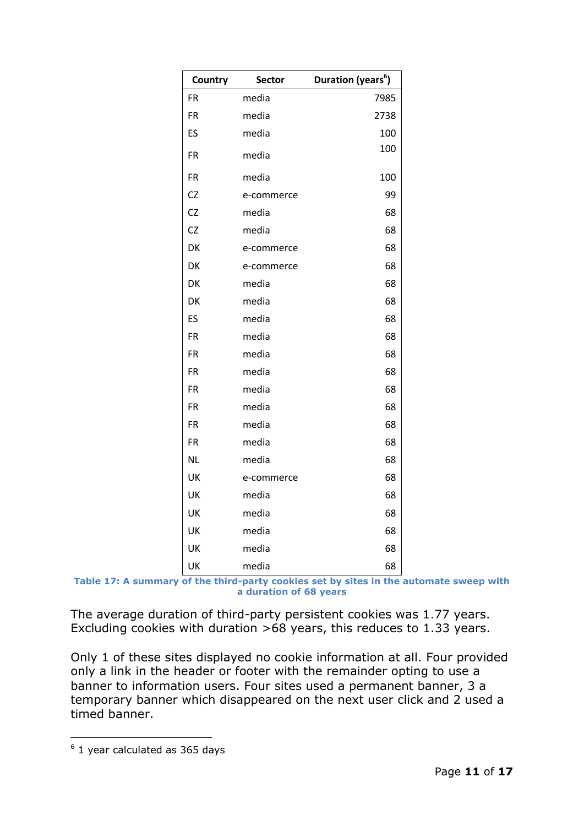| Country   | <b>Sector</b> | <b>Duration (years<sup>6</sup>)</b> |
|-----------|---------------|-------------------------------------|
| <b>FR</b> | media         | 7985                                |
| <b>FR</b> | media         | 2738                                |
| ES        | media         | 100                                 |
| <b>FR</b> | media         | 100                                 |
| <b>FR</b> | media         | 100                                 |
| CZ        | e-commerce    | 99                                  |
| <b>CZ</b> | media         | 68                                  |
| <b>CZ</b> | media         | 68                                  |
| DK        | e-commerce    | 68                                  |
| DK        | e-commerce    | 68                                  |
| DK        | media         | 68                                  |
| DK        | media         | 68                                  |
| ES        | media         | 68                                  |
| <b>FR</b> | media         | 68                                  |
| <b>FR</b> | media         | 68                                  |
| <b>FR</b> | media         | 68                                  |
| FR        | media         | 68                                  |
| <b>FR</b> | media         | 68                                  |
| <b>FR</b> | media         | 68                                  |
| <b>FR</b> | media         | 68                                  |
| <b>NL</b> | media         | 68                                  |
| UK        | e-commerce    | 68                                  |
| UK        | media         | 68                                  |
| UK        | media         | 68                                  |
| UK        | media         | 68                                  |
| UK        | media         | 68                                  |
| UK        | media         | 68                                  |

**Table 17: A summary of the third-party cookies set by sites in the automate sweep with a duration of 68 years**

The average duration of third-party persistent cookies was 1.77 years. Excluding cookies with duration >68 years, this reduces to 1.33 years.

Only 1 of these sites displayed no cookie information at all. Four provided only a link in the header or footer with the remainder opting to use a banner to information users. Four sites used a permanent banner, 3 a temporary banner which disappeared on the next user click and 2 used a timed banner.

-

 $6$  1 year calculated as 365 days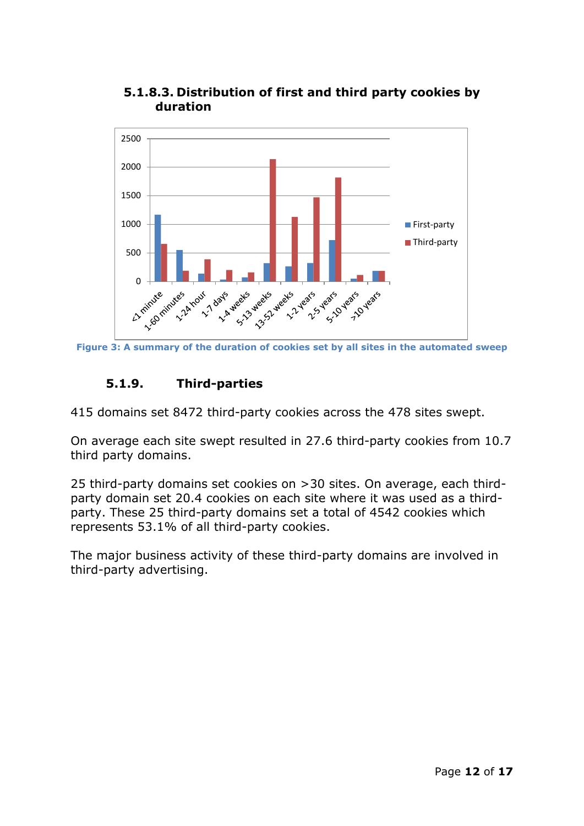

**5.1.8.3. Distribution of first and third party cookies by duration**

# **5.1.9. Third-parties**

415 domains set 8472 third-party cookies across the 478 sites swept.

On average each site swept resulted in 27.6 third-party cookies from 10.7 third party domains.

25 third-party domains set cookies on >30 sites. On average, each thirdparty domain set 20.4 cookies on each site where it was used as a thirdparty. These 25 third-party domains set a total of 4542 cookies which represents 53.1% of all third-party cookies.

The major business activity of these third-party domains are involved in third-party advertising.

**Figure 3: A summary of the duration of cookies set by all sites in the automated sweep**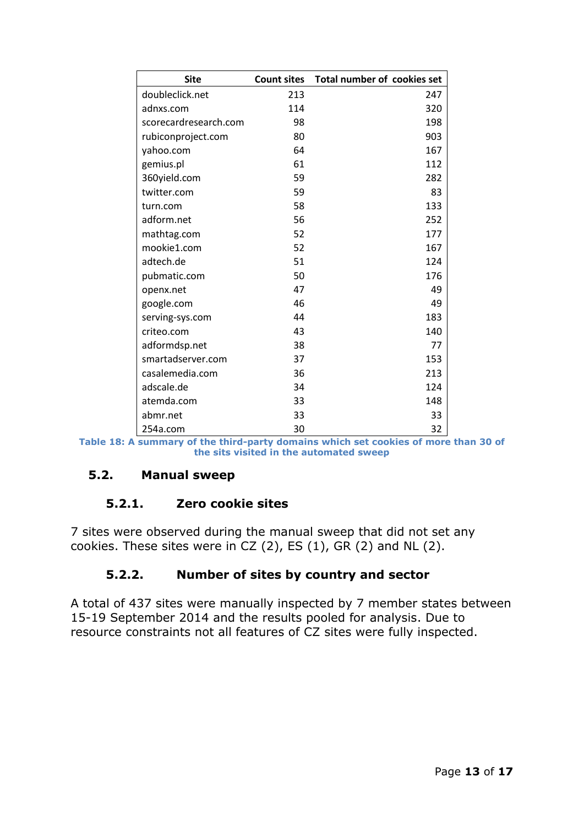| <b>Site</b>           | <b>Count sites</b> | Total number of cookies set |
|-----------------------|--------------------|-----------------------------|
| doubleclick.net       | 213                | 247                         |
| adnxs.com             | 114                | 320                         |
| scorecardresearch.com | 98                 | 198                         |
| rubiconproject.com    | 80                 | 903                         |
| yahoo.com             | 64                 | 167                         |
| gemius.pl             | 61                 | 112                         |
| 360yield.com          | 59                 | 282                         |
| twitter.com           | 59                 | 83                          |
| turn.com              | 58                 | 133                         |
| adform.net            | 56                 | 252                         |
| mathtag.com           | 52                 | 177                         |
| mookie1.com           | 52                 | 167                         |
| adtech.de             | 51                 | 124                         |
| pubmatic.com          | 50                 | 176                         |
| openx.net             | 47                 | 49                          |
| google.com            | 46                 | 49                          |
| serving-sys.com       | 44                 | 183                         |
| criteo.com            | 43                 | 140                         |
| adformdsp.net         | 38                 | 77                          |
| smartadserver.com     | 37                 | 153                         |
| casalemedia.com       | 36                 | 213                         |
| adscale.de            | 34                 | 124                         |
| atemda.com            | 33                 | 148                         |
| abmr.net              | 33                 | 33                          |
| 254a.com              | 30                 | 32                          |

**Table 18: A summary of the third-party domains which set cookies of more than 30 of the sits visited in the automated sweep**

# **5.2. Manual sweep**

#### **5.2.1. Zero cookie sites**

7 sites were observed during the manual sweep that did not set any cookies. These sites were in CZ  $(2)$ , ES  $(1)$ , GR  $(2)$  and NL  $(2)$ .

# **5.2.2. Number of sites by country and sector**

A total of 437 sites were manually inspected by 7 member states between 15-19 September 2014 and the results pooled for analysis. Due to resource constraints not all features of CZ sites were fully inspected.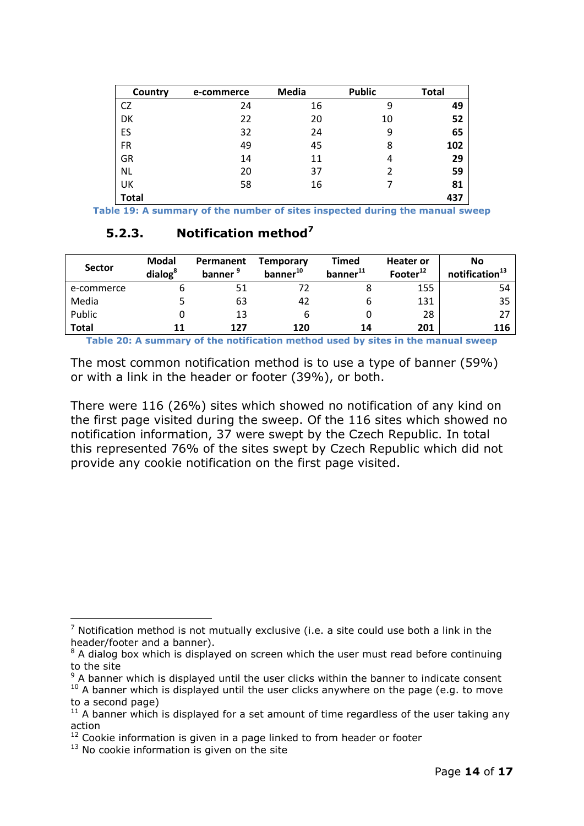| Country      | e-commerce | <b>Media</b> | <b>Public</b> | <b>Total</b> |
|--------------|------------|--------------|---------------|--------------|
| CZ           | 24         | 16           | 9             | 49           |
| DK           | 22         | 20           | 10            | 52           |
| ES           | 32         | 24           | 9             | 65           |
| <b>FR</b>    | 49         | 45           | 8             | 102          |
| GR           | 14         | 11           | 4             | 29           |
| <b>NL</b>    | 20         | 37           | 2             | 59           |
| UK           | 58         | 16           |               | 81           |
| <b>Total</b> |            |              |               | 437          |

**Table 19: A summary of the number of sites inspected during the manual sweep**

### **5.2.3. Notification method<sup>7</sup>**

| <b>Sector</b> | <b>Modal</b><br>dialog <sup>8</sup> | Permanent<br>banner <sup>9</sup> | <b>Temporary</b><br>banner <sup>10</sup> | Timed<br>banner <sup>11</sup> | <b>Heater or</b><br>Footer <sup>12</sup> | No<br>notification <sup>13</sup> |
|---------------|-------------------------------------|----------------------------------|------------------------------------------|-------------------------------|------------------------------------------|----------------------------------|
| e-commerce    |                                     | 51                               |                                          |                               | 155                                      | 54                               |
| Media         |                                     | 63                               | 42                                       | ь                             | 131                                      | 35                               |
| Public        |                                     | 13                               | b                                        |                               | 28                                       | 27                               |
| <b>Total</b>  | 11                                  | 127                              | 120                                      | 14                            | 201                                      | 116                              |

**Table 20: A summary of the notification method used by sites in the manual sweep**

The most common notification method is to use a type of banner (59%) or with a link in the header or footer (39%), or both.

There were 116 (26%) sites which showed no notification of any kind on the first page visited during the sweep. Of the 116 sites which showed no notification information, 37 were swept by the Czech Republic. In total this represented 76% of the sites swept by Czech Republic which did not provide any cookie notification on the first page visited.

-

 $7$  Notification method is not mutually exclusive (i.e. a site could use both a link in the header/footer and a banner).

 $8$  A dialog box which is displayed on screen which the user must read before continuing to the site

 $9$  A banner which is displayed until the user clicks within the banner to indicate consent  $10$  A banner which is displayed until the user clicks anywhere on the page (e.g. to move

to a second page)

 $11$  A banner which is displayed for a set amount of time regardless of the user taking any action

 $12$  Cookie information is given in a page linked to from header or footer

 $13$  No cookie information is given on the site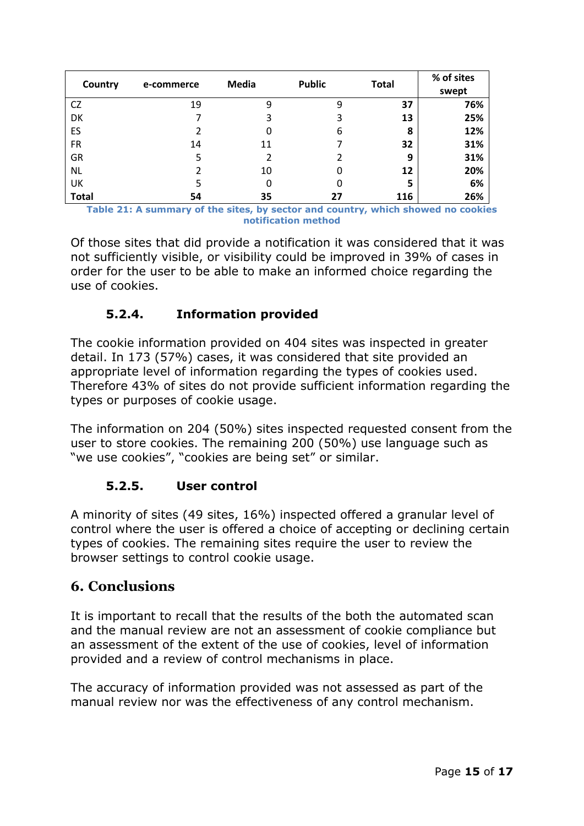| Country      | e-commerce | <b>Media</b> | <b>Public</b> | <b>Total</b> | % of sites<br>swept |
|--------------|------------|--------------|---------------|--------------|---------------------|
| <b>CZ</b>    | 19         | 9            | 9             | 37           | 76%                 |
| DK           |            | 3            | 3             | 13           | 25%                 |
| ES           |            | 0            | 6             | 8            | 12%                 |
| <b>FR</b>    | 14         | 11           |               | 32           | 31%                 |
| <b>GR</b>    | 5          | 2            |               | 9            | 31%                 |
| <b>NL</b>    |            | 10           | 0             | 12           | 20%                 |
| UK           | 5          | 0            |               | 5            | 6%                  |
| <b>Total</b> | 54         | 35           | 27            | 116          | 26%                 |

**Table 21: A summary of the sites, by sector and country, which showed no cookies notification method**

Of those sites that did provide a notification it was considered that it was not sufficiently visible, or visibility could be improved in 39% of cases in order for the user to be able to make an informed choice regarding the use of cookies.

# **5.2.4. Information provided**

The cookie information provided on 404 sites was inspected in greater detail. In 173 (57%) cases, it was considered that site provided an appropriate level of information regarding the types of cookies used. Therefore 43% of sites do not provide sufficient information regarding the types or purposes of cookie usage.

The information on 204 (50%) sites inspected requested consent from the user to store cookies. The remaining 200 (50%) use language such as "we use cookies", "cookies are being set" or similar.

# **5.2.5. User control**

A minority of sites (49 sites, 16%) inspected offered a granular level of control where the user is offered a choice of accepting or declining certain types of cookies. The remaining sites require the user to review the browser settings to control cookie usage.

# **6. Conclusions**

It is important to recall that the results of the both the automated scan and the manual review are not an assessment of cookie compliance but an assessment of the extent of the use of cookies, level of information provided and a review of control mechanisms in place.

The accuracy of information provided was not assessed as part of the manual review nor was the effectiveness of any control mechanism.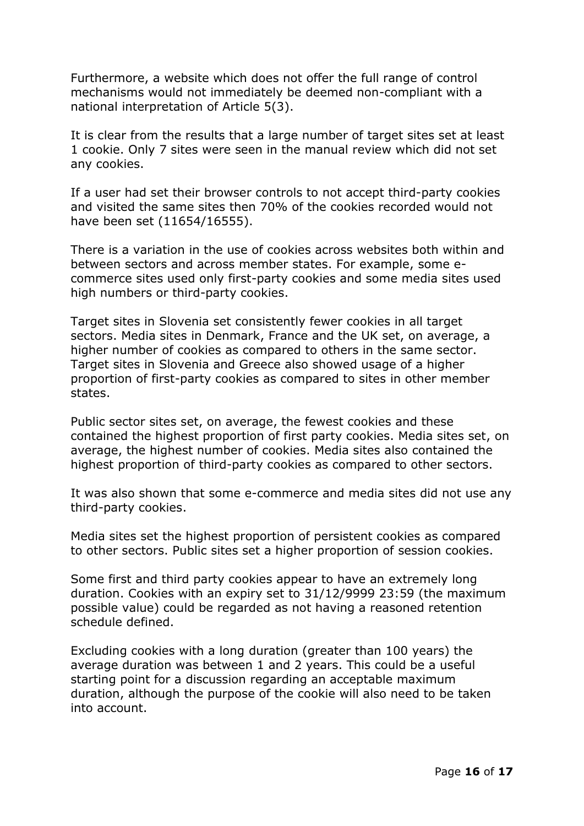Furthermore, a website which does not offer the full range of control mechanisms would not immediately be deemed non-compliant with a national interpretation of Article 5(3).

It is clear from the results that a large number of target sites set at least 1 cookie. Only 7 sites were seen in the manual review which did not set any cookies.

If a user had set their browser controls to not accept third-party cookies and visited the same sites then 70% of the cookies recorded would not have been set (11654/16555).

There is a variation in the use of cookies across websites both within and between sectors and across member states. For example, some ecommerce sites used only first-party cookies and some media sites used high numbers or third-party cookies.

Target sites in Slovenia set consistently fewer cookies in all target sectors. Media sites in Denmark, France and the UK set, on average, a higher number of cookies as compared to others in the same sector. Target sites in Slovenia and Greece also showed usage of a higher proportion of first-party cookies as compared to sites in other member states.

Public sector sites set, on average, the fewest cookies and these contained the highest proportion of first party cookies. Media sites set, on average, the highest number of cookies. Media sites also contained the highest proportion of third-party cookies as compared to other sectors.

It was also shown that some e-commerce and media sites did not use any third-party cookies.

Media sites set the highest proportion of persistent cookies as compared to other sectors. Public sites set a higher proportion of session cookies.

Some first and third party cookies appear to have an extremely long duration. Cookies with an expiry set to 31/12/9999 23:59 (the maximum possible value) could be regarded as not having a reasoned retention schedule defined.

Excluding cookies with a long duration (greater than 100 years) the average duration was between 1 and 2 years. This could be a useful starting point for a discussion regarding an acceptable maximum duration, although the purpose of the cookie will also need to be taken into account.